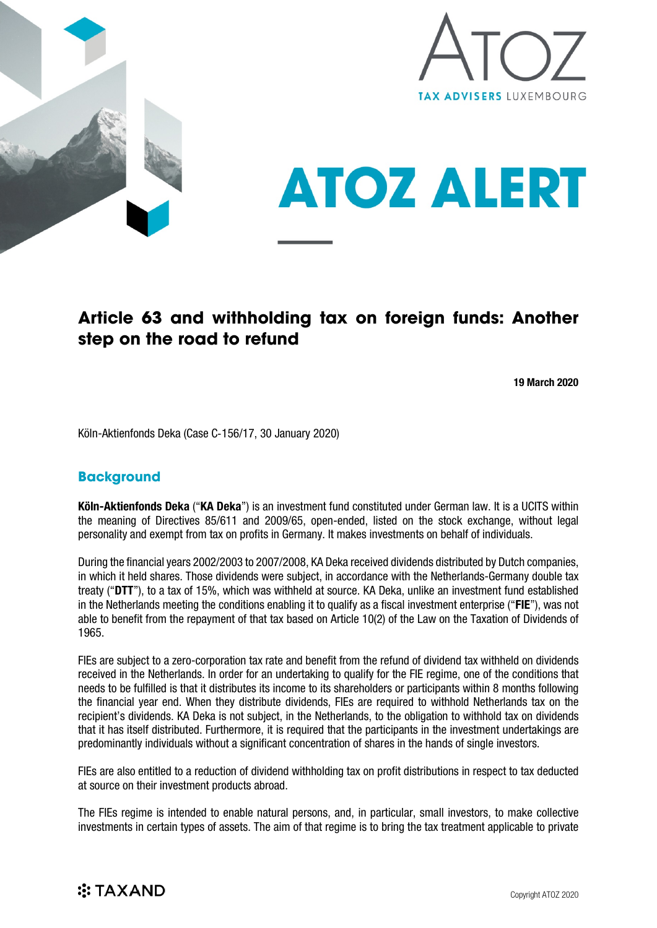





# **Article 63 and withholding tax on foreign funds: Another step on the road to refund**

19 March 2020

Köln-Aktienfonds Deka (Case C‑156/17, 30 January 2020)

#### **Background**

Köln-Aktienfonds Deka ("KA Deka") is an investment fund constituted under German law. It is a UCITS within the meaning of Directives 85/611 and 2009/65, open-ended, listed on the stock exchange, without legal personality and exempt from tax on profits in Germany. It makes investments on behalf of individuals.

During the financial years 2002/2003 to 2007/2008, KA Deka received dividends distributed by Dutch companies, in which it held shares. Those dividends were subject, in accordance with the Netherlands-Germany double tax treaty ("DTT"), to a tax of 15%, which was withheld at source. KA Deka, unlike an investment fund established in the Netherlands meeting the conditions enabling it to qualify as a fiscal investment enterprise ("FIE"), was not able to benefit from the repayment of that tax based on Article 10(2) of the Law on the Taxation of Dividends of 1965.

FIEs are subject to a zero-corporation tax rate and benefit from the refund of dividend tax withheld on dividends received in the Netherlands. In order for an undertaking to qualify for the FIE regime, one of the conditions that needs to be fulfilled is that it distributes its income to its shareholders or participants within 8 months following the financial year end. When they distribute dividends, FIEs are required to withhold Netherlands tax on the recipient's dividends. KA Deka is not subject, in the Netherlands, to the obligation to withhold tax on dividends that it has itself distributed. Furthermore, it is required that the participants in the investment undertakings are predominantly individuals without a significant concentration of shares in the hands of single investors.

FIEs are also entitled to a reduction of dividend withholding tax on profit distributions in respect to tax deducted at source on their investment products abroad.

The FIEs regime is intended to enable natural persons, and, in particular, small investors, to make collective investments in certain types of assets. The aim of that regime is to bring the tax treatment applicable to private

## **※TAXAND**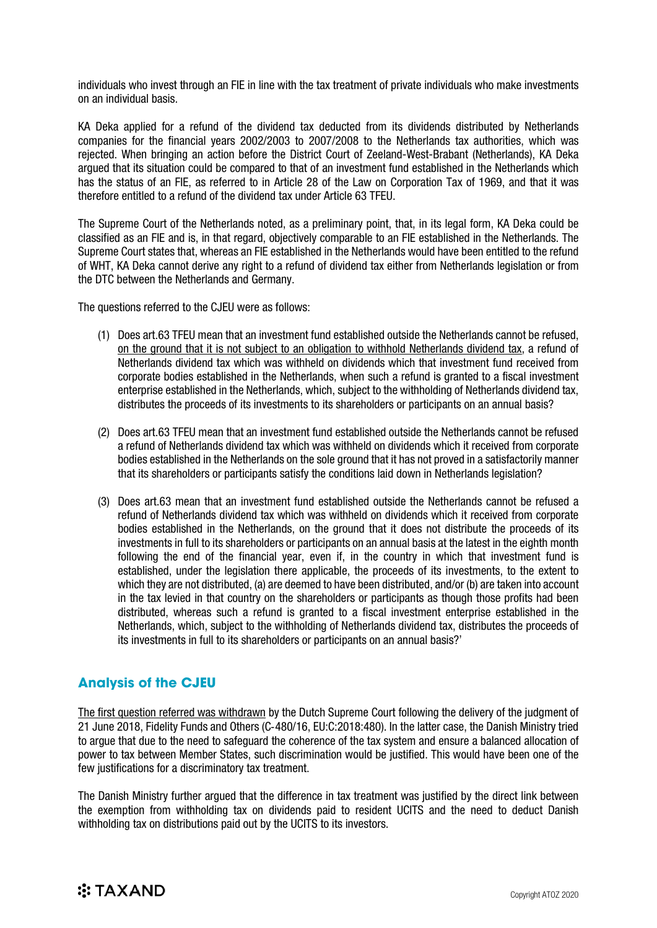individuals who invest through an FIE in line with the tax treatment of private individuals who make investments on an individual basis.

KA Deka applied for a refund of the dividend tax deducted from its dividends distributed by Netherlands companies for the financial years 2002/2003 to 2007/2008 to the Netherlands tax authorities, which was rejected. When bringing an action before the District Court of Zeeland-West-Brabant (Netherlands), KA Deka argued that its situation could be compared to that of an investment fund established in the Netherlands which has the status of an FIE, as referred to in Article 28 of the Law on Corporation Tax of 1969, and that it was therefore entitled to a refund of the dividend tax under Article 63 TFEU.

The Supreme Court of the Netherlands noted, as a preliminary point, that, in its legal form, KA Deka could be classified as an FIE and is, in that regard, objectively comparable to an FIE established in the Netherlands. The Supreme Court states that, whereas an FIE established in the Netherlands would have been entitled to the refund of WHT, KA Deka cannot derive any right to a refund of dividend tax either from Netherlands legislation or from the DTC between the Netherlands and Germany.

The questions referred to the CJEU were as follows:

- (1) Does art.63 TFEU mean that an investment fund established outside the Netherlands cannot be refused, on the ground that it is not subject to an obligation to withhold Netherlands dividend tax, a refund of Netherlands dividend tax which was withheld on dividends which that investment fund received from corporate bodies established in the Netherlands, when such a refund is granted to a fiscal investment enterprise established in the Netherlands, which, subject to the withholding of Netherlands dividend tax, distributes the proceeds of its investments to its shareholders or participants on an annual basis?
- (2) Does art.63 TFEU mean that an investment fund established outside the Netherlands cannot be refused a refund of Netherlands dividend tax which was withheld on dividends which it received from corporate bodies established in the Netherlands on the sole ground that it has not proved in a satisfactorily manner that its shareholders or participants satisfy the conditions laid down in Netherlands legislation?
- (3) Does art.63 mean that an investment fund established outside the Netherlands cannot be refused a refund of Netherlands dividend tax which was withheld on dividends which it received from corporate bodies established in the Netherlands, on the ground that it does not distribute the proceeds of its investments in full to its shareholders or participants on an annual basis at the latest in the eighth month following the end of the financial year, even if, in the country in which that investment fund is established, under the legislation there applicable, the proceeds of its investments, to the extent to which they are not distributed, (a) are deemed to have been distributed, and/or (b) are taken into account in the tax levied in that country on the shareholders or participants as though those profits had been distributed, whereas such a refund is granted to a fiscal investment enterprise established in the Netherlands, which, subject to the withholding of Netherlands dividend tax, distributes the proceeds of its investments in full to its shareholders or participants on an annual basis?'

### **Analysis of the CJEU**

The first question referred was withdrawn by the Dutch Supreme Court following the delivery of the judgment of 21 June 2018, Fidelity Funds and Others (C‑480/16, EU:C:2018:480). In the latter case, the Danish Ministry tried to argue that due to the need to safeguard the coherence of the tax system and ensure a balanced allocation of power to tax between Member States, such discrimination would be justified. This would have been one of the few justifications for a discriminatory tax treatment.

The Danish Ministry further argued that the difference in tax treatment was justified by the direct link between the exemption from withholding tax on dividends paid to resident UCITS and the need to deduct Danish withholding tax on distributions paid out by the UCITS to its investors.

# **:TAXAND**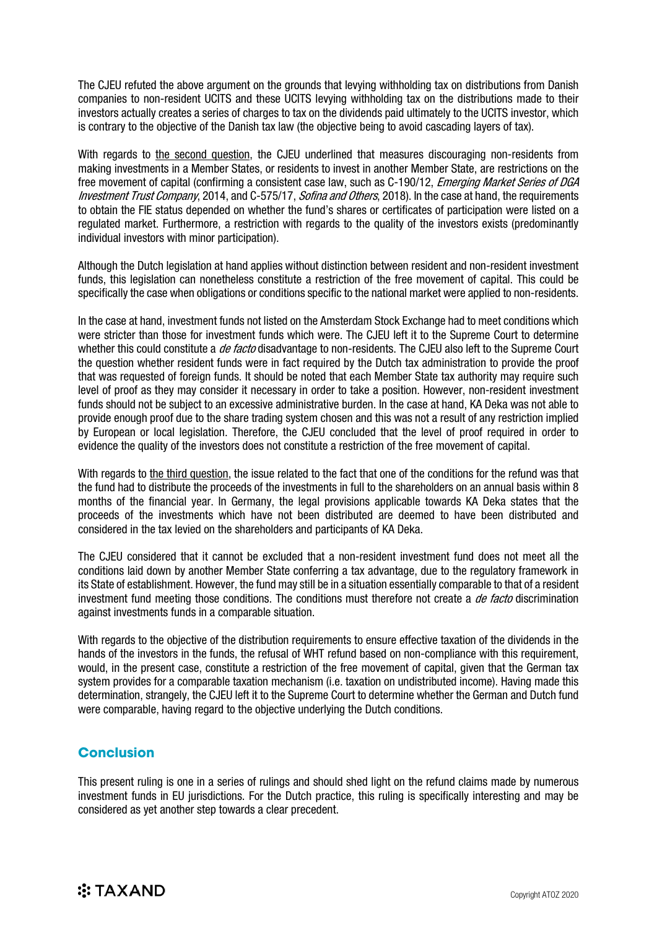The CJEU refuted the above argument on the grounds that levying withholding tax on distributions from Danish companies to non-resident UCITS and these UCITS levying withholding tax on the distributions made to their investors actually creates a series of charges to tax on the dividends paid ultimately to the UCITS investor, which is contrary to the objective of the Danish tax law (the objective being to avoid cascading layers of tax).

With regards to the second question, the CJEU underlined that measures discouraging non-residents from making investments in a Member States, or residents to invest in another Member State, are restrictions on the free movement of capital (confirming a consistent case law, such as C-190/12, *Emerging Market Series of DGA* Investment Trust Company, 2014, and C-575/17, Sofina and Others, 2018). In the case at hand, the requirements to obtain the FIE status depended on whether the fund's shares or certificates of participation were listed on a regulated market. Furthermore, a restriction with regards to the quality of the investors exists (predominantly individual investors with minor participation).

Although the Dutch legislation at hand applies without distinction between resident and non-resident investment funds, this legislation can nonetheless constitute a restriction of the free movement of capital. This could be specifically the case when obligations or conditions specific to the national market were applied to non-residents.

In the case at hand, investment funds not listed on the Amsterdam Stock Exchange had to meet conditions which were stricter than those for investment funds which were. The CJEU left it to the Supreme Court to determine whether this could constitute a *de facto* disadvantage to non-residents. The CJEU also left to the Supreme Court the question whether resident funds were in fact required by the Dutch tax administration to provide the proof that was requested of foreign funds. It should be noted that each Member State tax authority may require such level of proof as they may consider it necessary in order to take a position. However, non-resident investment funds should not be subject to an excessive administrative burden. In the case at hand, KA Deka was not able to provide enough proof due to the share trading system chosen and this was not a result of any restriction implied by European or local legislation. Therefore, the CJEU concluded that the level of proof required in order to evidence the quality of the investors does not constitute a restriction of the free movement of capital.

With regards to the third question, the issue related to the fact that one of the conditions for the refund was that the fund had to distribute the proceeds of the investments in full to the shareholders on an annual basis within 8 months of the financial year. In Germany, the legal provisions applicable towards KA Deka states that the proceeds of the investments which have not been distributed are deemed to have been distributed and considered in the tax levied on the shareholders and participants of KA Deka.

The CJEU considered that it cannot be excluded that a non-resident investment fund does not meet all the conditions laid down by another Member State conferring a tax advantage, due to the regulatory framework in its State of establishment. However, the fund may still be in a situation essentially comparable to that of a resident investment fund meeting those conditions. The conditions must therefore not create a de facto discrimination against investments funds in a comparable situation.

With regards to the objective of the distribution requirements to ensure effective taxation of the dividends in the hands of the investors in the funds, the refusal of WHT refund based on non-compliance with this requirement, would, in the present case, constitute a restriction of the free movement of capital, given that the German tax system provides for a comparable taxation mechanism (i.e. taxation on undistributed income). Having made this determination, strangely, the CJEU left it to the Supreme Court to determine whether the German and Dutch fund were comparable, having regard to the objective underlying the Dutch conditions.

#### **Conclusion**

This present ruling is one in a series of rulings and should shed light on the refund claims made by numerous investment funds in EU jurisdictions. For the Dutch practice, this ruling is specifically interesting and may be considered as yet another step towards a clear precedent.